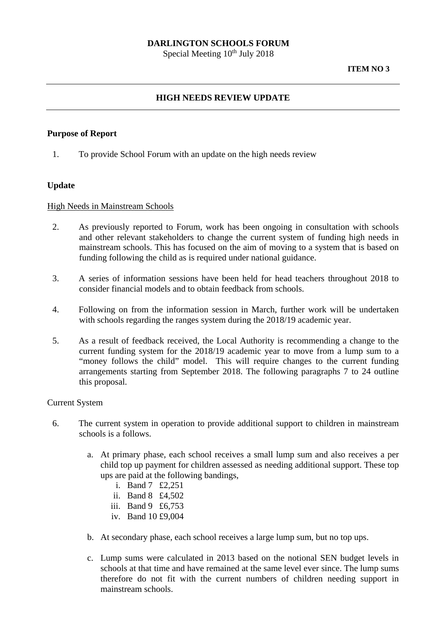# **DARLINGTON SCHOOLS FORUM**

Special Meeting  $10^{th}$  July 2018

### **ITEM NO 3**

# **HIGH NEEDS REVIEW UPDATE**

## **Purpose of Report**

1. To provide School Forum with an update on the high needs review

## **Update**

#### High Needs in Mainstream Schools

- 2. As previously reported to Forum, work has been ongoing in consultation with schools and other relevant stakeholders to change the current system of funding high needs in mainstream schools. This has focused on the aim of moving to a system that is based on funding following the child as is required under national guidance.
- 3. A series of information sessions have been held for head teachers throughout 2018 to consider financial models and to obtain feedback from schools.
- 4. Following on from the information session in March, further work will be undertaken with schools regarding the ranges system during the 2018/19 academic year.
- 5. As a result of feedback received, the Local Authority is recommending a change to the current funding system for the 2018/19 academic year to move from a lump sum to a "money follows the child" model. This will require changes to the current funding arrangements starting from September 2018. The following paragraphs 7 to 24 outline this proposal.

#### Current System

- 6. The current system in operation to provide additional support to children in mainstream schools is a follows.
	- a. At primary phase, each school receives a small lump sum and also receives a per child top up payment for children assessed as needing additional support. These top ups are paid at the following bandings,
		- i. Band 7 £2,251
		- ii. Band 8 £4,502
		- iii. Band 9 £6,753
		- iv. Band 10 £9,004
	- b. At secondary phase, each school receives a large lump sum, but no top ups.
	- c. Lump sums were calculated in 2013 based on the notional SEN budget levels in schools at that time and have remained at the same level ever since. The lump sums therefore do not fit with the current numbers of children needing support in mainstream schools.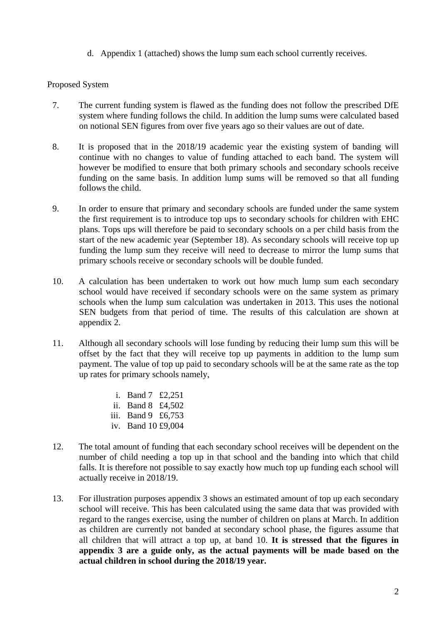d. Appendix 1 (attached) shows the lump sum each school currently receives.

# Proposed System

- 7. The current funding system is flawed as the funding does not follow the prescribed DfE system where funding follows the child. In addition the lump sums were calculated based on notional SEN figures from over five years ago so their values are out of date.
- 8. It is proposed that in the 2018/19 academic year the existing system of banding will continue with no changes to value of funding attached to each band. The system will however be modified to ensure that both primary schools and secondary schools receive funding on the same basis. In addition lump sums will be removed so that all funding follows the child.
- 9. In order to ensure that primary and secondary schools are funded under the same system the first requirement is to introduce top ups to secondary schools for children with EHC plans. Tops ups will therefore be paid to secondary schools on a per child basis from the start of the new academic year (September 18). As secondary schools will receive top up funding the lump sum they receive will need to decrease to mirror the lump sums that primary schools receive or secondary schools will be double funded.
- 10. A calculation has been undertaken to work out how much lump sum each secondary school would have received if secondary schools were on the same system as primary schools when the lump sum calculation was undertaken in 2013. This uses the notional SEN budgets from that period of time. The results of this calculation are shown at appendix 2.
- 11. Although all secondary schools will lose funding by reducing their lump sum this will be offset by the fact that they will receive top up payments in addition to the lump sum payment. The value of top up paid to secondary schools will be at the same rate as the top up rates for primary schools namely,
	- i. Band 7 £2,251
	- ii. Band 8 £4,502
	- iii. Band 9 £6,753
	- iv. Band 10 £9,004
- 12. The total amount of funding that each secondary school receives will be dependent on the number of child needing a top up in that school and the banding into which that child falls. It is therefore not possible to say exactly how much top up funding each school will actually receive in 2018/19.
- 13. For illustration purposes appendix 3 shows an estimated amount of top up each secondary school will receive. This has been calculated using the same data that was provided with regard to the ranges exercise, using the number of children on plans at March. In addition as children are currently not banded at secondary school phase, the figures assume that all children that will attract a top up, at band 10. **It is stressed that the figures in appendix 3 are a guide only, as the actual payments will be made based on the actual children in school during the 2018/19 year.**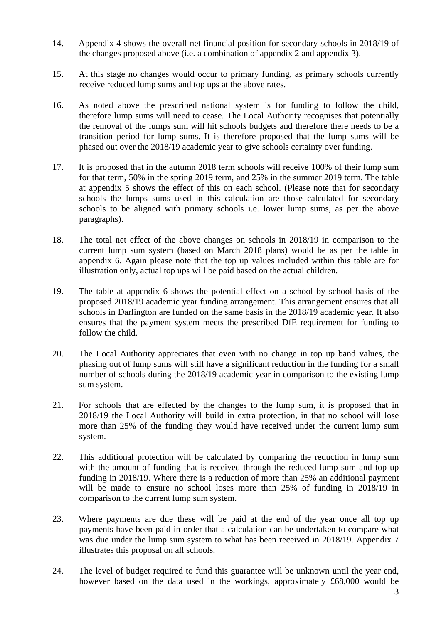- 14. Appendix 4 shows the overall net financial position for secondary schools in 2018/19 of the changes proposed above (i.e. a combination of appendix 2 and appendix 3).
- 15. At this stage no changes would occur to primary funding, as primary schools currently receive reduced lump sums and top ups at the above rates.
- 16. As noted above the prescribed national system is for funding to follow the child, therefore lump sums will need to cease. The Local Authority recognises that potentially the removal of the lumps sum will hit schools budgets and therefore there needs to be a transition period for lump sums. It is therefore proposed that the lump sums will be phased out over the 2018/19 academic year to give schools certainty over funding.
- 17. It is proposed that in the autumn 2018 term schools will receive 100% of their lump sum for that term, 50% in the spring 2019 term, and 25% in the summer 2019 term. The table at appendix 5 shows the effect of this on each school. (Please note that for secondary schools the lumps sums used in this calculation are those calculated for secondary schools to be aligned with primary schools i.e. lower lump sums, as per the above paragraphs).
- 18. The total net effect of the above changes on schools in 2018/19 in comparison to the current lump sum system (based on March 2018 plans) would be as per the table in appendix 6. Again please note that the top up values included within this table are for illustration only, actual top ups will be paid based on the actual children.
- 19. The table at appendix 6 shows the potential effect on a school by school basis of the proposed 2018/19 academic year funding arrangement. This arrangement ensures that all schools in Darlington are funded on the same basis in the 2018/19 academic year. It also ensures that the payment system meets the prescribed DfE requirement for funding to follow the child.
- 20. The Local Authority appreciates that even with no change in top up band values, the phasing out of lump sums will still have a significant reduction in the funding for a small number of schools during the 2018/19 academic year in comparison to the existing lump sum system.
- 21. For schools that are effected by the changes to the lump sum, it is proposed that in 2018/19 the Local Authority will build in extra protection, in that no school will lose more than 25% of the funding they would have received under the current lump sum system.
- 22. This additional protection will be calculated by comparing the reduction in lump sum with the amount of funding that is received through the reduced lump sum and top up funding in 2018/19. Where there is a reduction of more than 25% an additional payment will be made to ensure no school loses more than 25% of funding in 2018/19 in comparison to the current lump sum system.
- 23. Where payments are due these will be paid at the end of the year once all top up payments have been paid in order that a calculation can be undertaken to compare what was due under the lump sum system to what has been received in 2018/19. Appendix 7 illustrates this proposal on all schools.
- 24. The level of budget required to fund this guarantee will be unknown until the year end, however based on the data used in the workings, approximately £68,000 would be